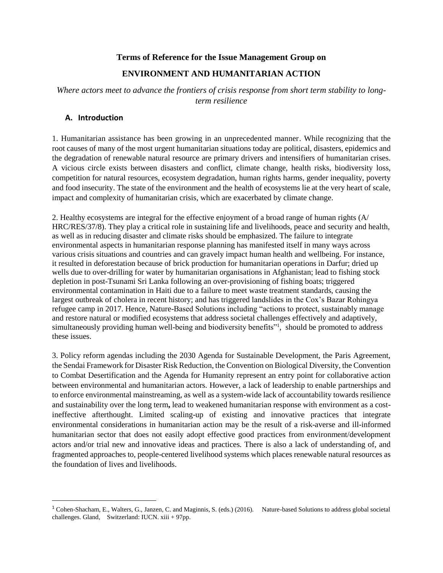#### **Terms of Reference for the Issue Management Group on**

## **ENVIRONMENT AND HUMANITARIAN ACTION**

*Where actors meet to advance the frontiers of crisis response from short term stability to longterm resilience*

### **A. Introduction**

 $\overline{a}$ 

1. Humanitarian assistance has been growing in an unprecedented manner. While recognizing that the root causes of many of the most urgent humanitarian situations today are political, disasters, epidemics and the degradation of renewable natural resource are primary drivers and intensifiers of humanitarian crises. A vicious circle exists between disasters and conflict, climate change, health risks, biodiversity loss, competition for natural resources, ecosystem degradation, human rights harms, gender inequality, poverty and food insecurity. The state of the environment and the health of ecosystems lie at the very heart of scale, impact and complexity of humanitarian crisis, which are exacerbated by climate change.

2. Healthy ecosystems are integral for the effective enjoyment of a broad range of human rights (A/ HRC/RES/37/8). They play a critical role in sustaining life and livelihoods, peace and security and health, as well as in reducing disaster and climate risks should be emphasized. The failure to integrate environmental aspects in humanitarian response planning has manifested itself in many ways across various crisis situations and countries and can gravely impact human health and wellbeing. For instance, it resulted in deforestation because of brick production for humanitarian operations in Darfur; dried up wells due to over-drilling for water by humanitarian organisations in Afghanistan; lead to fishing stock depletion in post-Tsunami Sri Lanka following an over-provisioning of fishing boats; triggered environmental contamination in Haiti due to a failure to meet waste treatment standards, causing the largest outbreak of cholera in recent history; and has triggered landslides in the Cox's Bazar Rohingya refugee camp in 2017. Hence, Nature-Based Solutions including "actions to protect, sustainably manage and restore natural or modified ecosystems that address societal challenges effectively and adaptively, simultaneously providing human well-being and biodiversity benefits"<sup>1</sup>, should be promoted to address these issues.

3. Policy reform agendas including the 2030 Agenda for Sustainable Development, the Paris Agreement, the Sendai Framework for Disaster Risk Reduction, the Convention on Biological Diversity, the Convention to Combat Desertification and the Agenda for Humanity represent an entry point for collaborative action between environmental and humanitarian actors. However, a lack of leadership to enable partnerships and to enforce environmental mainstreaming, as well as a system-wide lack of accountability towards resilience and sustainability over the long term**,** lead to weakened humanitarian response with environment as a costineffective afterthought. Limited scaling-up of existing and innovative practices that integrate environmental considerations in humanitarian action may be the result of a risk-averse and ill-informed humanitarian sector that does not easily adopt effective good practices from environment/development actors and/or trial new and innovative ideas and practices. There is also a lack of understanding of, and fragmented approaches to, people-centered livelihood systems which places renewable natural resources as the foundation of lives and livelihoods.

<sup>1</sup> Cohen-Shacham, E., Walters, G., Janzen, C. and Maginnis, S. (eds.) (2016). Nature-based Solutions to address global societal challenges. Gland, Switzerland: IUCN. xiii + 97pp.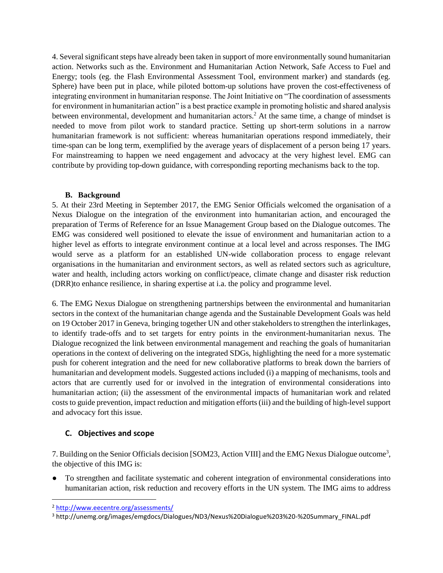4. Several significant steps have already been taken in support of more environmentally sound humanitarian action. Networks such as the. Environment and Humanitarian Action Network, Safe Access to Fuel and Energy; tools (eg. the Flash Environmental Assessment Tool, environment marker) and standards (eg. Sphere) have been put in place, while piloted bottom-up solutions have proven the cost-effectiveness of integrating environment in humanitarian response. The Joint Initiative on "The coordination of assessments for environment in humanitarian action" is a best practice example in promoting holistic and shared analysis between environmental, development and humanitarian actors.<sup>2</sup> At the same time, a change of mindset is needed to move from pilot work to standard practice. Setting up short-term solutions in a narrow humanitarian framework is not sufficient: whereas humanitarian operations respond immediately, their time-span can be long term, exemplified by the average years of displacement of a person being 17 years. For mainstreaming to happen we need engagement and advocacy at the very highest level. EMG can contribute by providing top-down guidance, with corresponding reporting mechanisms back to the top.

#### **B. Background**

5. At their 23rd Meeting in September 2017, the EMG Senior Officials welcomed the organisation of a Nexus Dialogue on the integration of the environment into humanitarian action, and encouraged the preparation of Terms of Reference for an Issue Management Group based on the Dialogue outcomes. The EMG was considered well positioned to elevate the issue of environment and humanitarian action to a higher level as efforts to integrate environment continue at a local level and across responses. The IMG would serve as a platform for an established UN-wide collaboration process to engage relevant organisations in the humanitarian and environment sectors, as well as related sectors such as agriculture, water and health, including actors working on conflict/peace, climate change and disaster risk reduction (DRR)to enhance resilience, in sharing expertise at i.a. the policy and programme level.

6. The EMG Nexus Dialogue on strengthening partnerships between the environmental and humanitarian sectors in the context of the humanitarian change agenda and the Sustainable Development Goals was held on 19 October 2017 in Geneva, bringing together UN and other stakeholders to strengthen the interlinkages, to identify trade-offs and to set targets for entry points in the environment-humanitarian nexus. The Dialogue recognized the link between environmental management and reaching the goals of humanitarian operations in the context of delivering on the integrated SDGs, highlighting the need for a more systematic push for coherent integration and the need for new collaborative platforms to break down the barriers of humanitarian and development models. Suggested actions included (i) a mapping of mechanisms, tools and actors that are currently used for or involved in the integration of environmental considerations into humanitarian action; (ii) the assessment of the environmental impacts of humanitarian work and related costs to guide prevention, impact reduction and mitigation efforts (iii) and the building of high-level support and advocacy fort this issue.

# **C. Objectives and scope**

7. Building on the Senior Officials decision [SOM23, Action VIII] and the EMG Nexus Dialogue outcome<sup>3</sup>, the objective of this IMG is:

● To strengthen and facilitate systematic and coherent integration of environmental considerations into humanitarian action, risk reduction and recovery efforts in the UN system. The IMG aims to address

l

<sup>2</sup> <http://www.eecentre.org/assessments/>

<sup>&</sup>lt;sup>3</sup> http://unemg.org/images/emgdocs/Dialogues/ND3/Nexus%20Dialogue%203%20-%20Summary\_FINAL.pdf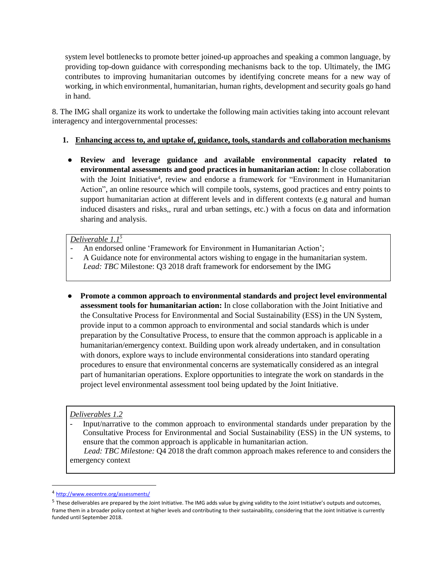system level bottlenecks to promote better joined-up approaches and speaking a common language, by providing top-down guidance with corresponding mechanisms back to the top. Ultimately, the IMG contributes to improving humanitarian outcomes by identifying concrete means for a new way of working, in which environmental, humanitarian, human rights, development and security goals go hand in hand.

8. The IMG shall organize its work to undertake the following main activities taking into account relevant interagency and intergovernmental processes:

## **1. Enhancing access to, and uptake of, guidance, tools, standards and collaboration mechanisms**

● **Review and leverage guidance and available environmental capacity related to environmental assessments and good practices in humanitarian action:** In close collaboration with the Joint Initiative<sup>4</sup>, review and endorse a framework for "Environment in Humanitarian Action", an online resource which will compile tools, systems, good practices and entry points to support humanitarian action at different levels and in different contexts (e.g natural and human induced disasters and risks,, rural and urban settings, etc.) with a focus on data and information sharing and analysis.

## *Deliverable 1.1<sup>5</sup>*

- An endorsed online 'Framework for Environment in Humanitarian Action';
- A Guidance note for environmental actors wishing to engage in the humanitarian system. *Lead: TBC* Milestone: Q3 2018 draft framework for endorsement by the IMG
- **Promote a common approach to environmental standards and project level environmental assessment tools for humanitarian action:** In close collaboration with the Joint Initiative and the Consultative Process for Environmental and Social Sustainability (ESS) in the UN System, provide input to a common approach to environmental and social standards which is under preparation by the Consultative Process, to ensure that the common approach is applicable in a humanitarian/emergency context. Building upon work already undertaken, and in consultation with donors, explore ways to include environmental considerations into standard operating procedures to ensure that environmental concerns are systematically considered as an integral part of humanitarian operations. Explore opportunities to integrate the work on standards in the project level environmental assessment tool being updated by the Joint Initiative.

#### *Deliverables 1.2*

- Input/narrative to the common approach to environmental standards under preparation by the Consultative Process for Environmental and Social Sustainability (ESS) in the UN systems, to ensure that the common approach is applicable in humanitarian action.  *Lead: TBC Milestone:* Q4 2018 the draft common approach makes reference to and considers the

emergency context

 $\overline{a}$ 

<sup>4</sup> <http://www.eecentre.org/assessments/>

 $^5$  These deliverables are prepared by the Joint Initiative. The IMG adds value by giving validity to the Joint Initiative's outputs and outcomes, frame them in a broader policy context at higher levels and contributing to their sustainability, considering that the Joint Initiative is currently funded until September 2018.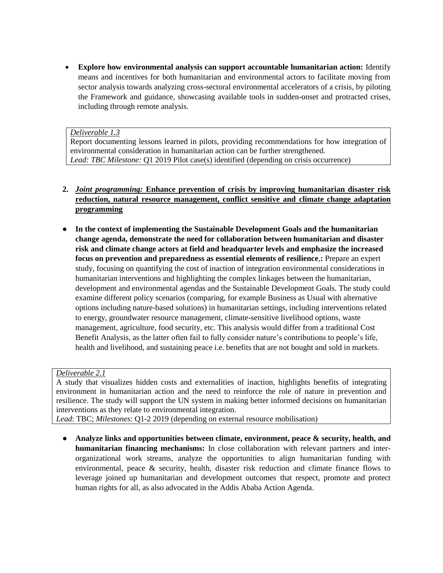**Explore how environmental analysis can support accountable humanitarian action:** Identify means and incentives for both humanitarian and environmental actors to facilitate moving from sector analysis towards analyzing cross-sectoral environmental accelerators of a crisis, by piloting the Framework and guidance, showcasing available tools in sudden-onset and protracted crises, including through remote analysis.

#### *Deliverable 1.3*

Report documenting lessons learned in pilots, providing recommendations for how integration of environmental consideration in humanitarian action can be further strengthened. *Lead: TBC Milestone:* Q1 2019 Pilot case(s) identified (depending on crisis occurrence)

- **2.** *Joint programming:* **Enhance prevention of crisis by improving humanitarian disaster risk reduction, natural resource management, conflict sensitive and climate change adaptation programming**
- In the context of implementing the Sustainable Development Goals and the humanitarian **change agenda, demonstrate the need for collaboration between humanitarian and disaster risk and climate change actors at field and headquarter levels and emphasize the increased focus on prevention and preparedness as essential elements of resilience**,**:** Prepare an expert study, focusing on quantifying the cost of inaction of integration environmental considerations in humanitarian interventions and highlighting the complex linkages between the humanitarian, development and environmental agendas and the Sustainable Development Goals. The study could examine different policy scenarios (comparing, for example Business as Usual with alternative options including nature-based solutions) in humanitarian settings, including interventions related to energy, groundwater resource management, climate-sensitive livelihood options, waste management, agriculture, food security, etc. This analysis would differ from a traditional Cost Benefit Analysis, as the latter often fail to fully consider nature's contributions to people's life, health and livelihood, and sustaining peace i.e. benefits that are not bought and sold in markets.

#### *Deliverable 2.1*

A study that visualizes hidden costs and externalities of inaction, highlights benefits of integrating environment in humanitarian action and the need to reinforce the role of nature in prevention and resilience. The study will support the UN system in making better informed decisions on humanitarian interventions as they relate to environmental integration.

*Lead*: TBC; *Milestones*: Q1-2 2019 (depending on external resource mobilisation)

● **Analyze links and opportunities between climate, environment, peace & security, health, and humanitarian financing mechanisms:** In close collaboration with relevant partners and interorganizational work streams, analyze the opportunities to align humanitarian funding with environmental, peace & security, health, disaster risk reduction and climate finance flows to leverage joined up humanitarian and development outcomes that respect, promote and protect human rights for all, as also advocated in the Addis Ababa Action Agenda.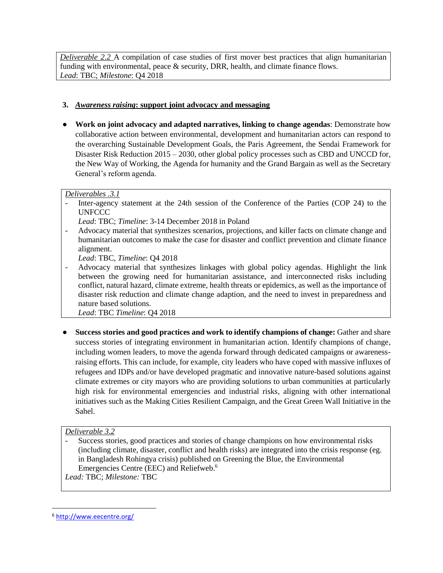*Deliverable 2.2* A compilation of case studies of first mover best practices that align humanitarian funding with environmental, peace & security, DRR, health, and climate finance flows. *Lead*: TBC; *Milestone*: Q4 2018

## **3.** *Awareness raising***: support joint advocacy and messaging**

● **Work on joint advocacy and adapted narratives, linking to change agendas**: Demonstrate how collaborative action between environmental, development and humanitarian actors can respond to the overarching Sustainable Development Goals, the Paris Agreement, the Sendai Framework for Disaster Risk Reduction 2015 – 2030, other global policy processes such as CBD and UNCCD for, the New Way of Working, the Agenda for humanity and the Grand Bargain as well as the Secretary General's reform agenda.

## *Deliverables .3.1*

Inter-agency statement at the 24th session of the Conference of the Parties (COP 24) to the UNFCCC

*Lead*: TBC; *Timeline*: 3-14 December 2018 in Poland

- Advocacy material that synthesizes scenarios, projections, and killer facts on climate change and humanitarian outcomes to make the case for disaster and conflict prevention and climate finance alignment.

*Lead*: TBC, *Timeline*: Q4 2018

- Advocacy material that synthesizes linkages with global policy agendas. Highlight the link between the growing need for humanitarian assistance, and interconnected risks including conflict, natural hazard, climate extreme, health threats or epidemics, as well as the importance of disaster risk reduction and climate change adaption, and the need to invest in preparedness and nature based solutions.

*Lead*: TBC *Timeline*: Q4 2018

● **Success stories and good practices and work to identify champions of change:** Gather and share success stories of integrating environment in humanitarian action. Identify champions of change, including women leaders, to move the agenda forward through dedicated campaigns or awarenessraising efforts. This can include, for example, city leaders who have coped with massive influxes of refugees and IDPs and/or have developed pragmatic and innovative nature-based solutions against climate extremes or city mayors who are providing solutions to urban communities at particularly high risk for environmental emergencies and industrial risks, aligning with other international initiatives such as the Making Cities Resilient Campaign, and the Great Green Wall Initiative in the Sahel.

## *Deliverable 3.2*

- Success stories, good practices and stories of change champions on how environmental risks (including climate, disaster, conflict and health risks) are integrated into the crisis response (eg. in Bangladesh Rohingya crisis) published on Greening the Blue, the Environmental Emergencies Centre (EEC) and Reliefweb. 6

*Lead:* TBC; *Milestone:* TBC

 $\overline{\phantom{a}}$ 

<sup>6</sup> <http://www.eecentre.org/>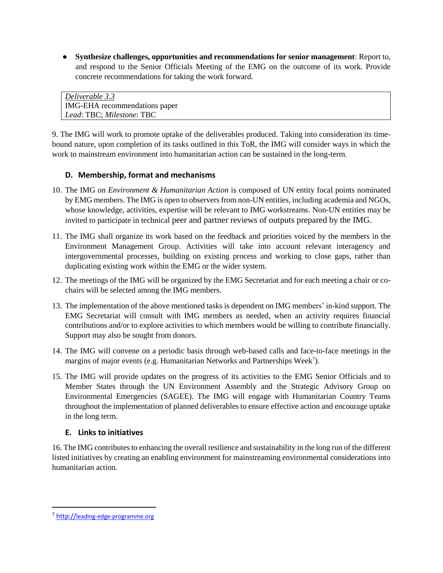● **Synthesize challenges, opportunities and recommendations for senior management**: Report to, and respond to the Senior Officials Meeting of the EMG on the outcome of its work. Provide concrete recommendations for taking the work forward.

*Deliverable 3.3* IMG-EHA recommendations paper *Lead*: TBC; *Milestone*: TBC

9. The IMG will work to promote uptake of the deliverables produced. Taking into consideration its timebound nature, upon completion of its tasks outlined in this ToR, the IMG will consider ways in which the work to mainstream environment into humanitarian action can be sustained in the long-term.

# **D. Membership, format and mechanisms**

- 10. The IMG on *Environment & Humanitarian Action* is composed of UN entity focal points nominated by EMG members. The IMG is open to observers from non-UN entities, including academia and NGOs, whose knowledge, activities, expertise will be relevant to IMG workstreams. Non-UN entities may be invited to participate in technical peer and partner reviews of outputs prepared by the IMG.
- 11. The IMG shall organize its work based on the feedback and priorities voiced by the members in the Environment Management Group. Activities will take into account relevant interagency and intergovernmental processes, building on existing process and working to close gaps, rather than duplicating existing work within the EMG or the wider system.
- 12. The meetings of the IMG will be organized by the EMG Secretariat and for each meeting a chair or cochairs will be selected among the IMG members.
- 13. The implementation of the above mentioned tasks is dependent on IMG members' in-kind support. The EMG Secretariat will consult with IMG members as needed, when an activity requires financial contributions and/or to explore activities to which members would be willing to contribute financially. Support may also be sought from donors.
- 14. The IMG will convene on a periodic basis through web-based calls and face-to-face meetings in the margins of major events (e.g. Humanitarian Networks and Partnerships Week<sup>7</sup>).
- 15. The IMG will provide updates on the progress of its activities to the EMG Senior Officials and to Member States through the UN Environment Assembly and the Strategic Advisory Group on Environmental Emergencies (SAGEE). The IMG will engage with Humanitarian Country Teams throughout the implementation of planned deliverables to ensure effective action and encourage uptake in the long term.

## **E. Links to initiatives**

16. The IMG contributes to enhancing the overall resilience and sustainability in the long run of the different listed initiatives by creating an enabling environment for mainstreaming environmental considerations into humanitarian action.

 $\overline{\phantom{a}}$ 

<sup>&</sup>lt;sup>7</sup> [http://](http://leading-edge-programme.org/)[leading-edge-programme.org](http://leading-edge-programme.org/)